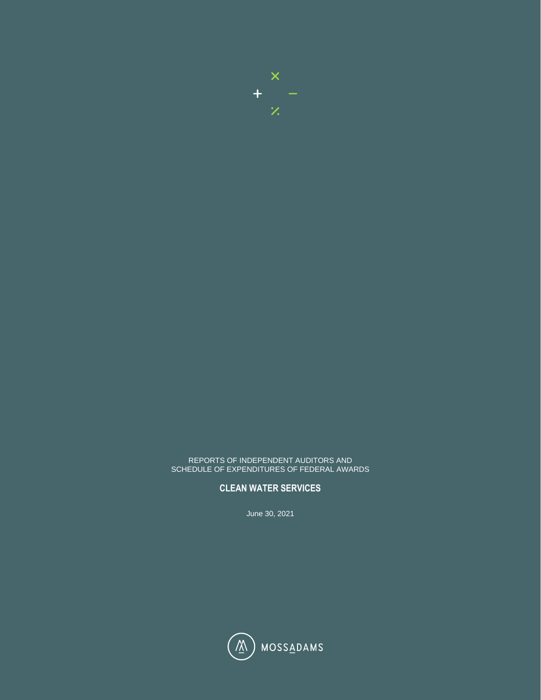

#### REPORTS OF INDEPENDENT AUDITORS AND SCHEDULE OF EXPENDITURES OF FEDERAL AWARDS

# **CLEAN WATER SERVICES**

June 30, 2021

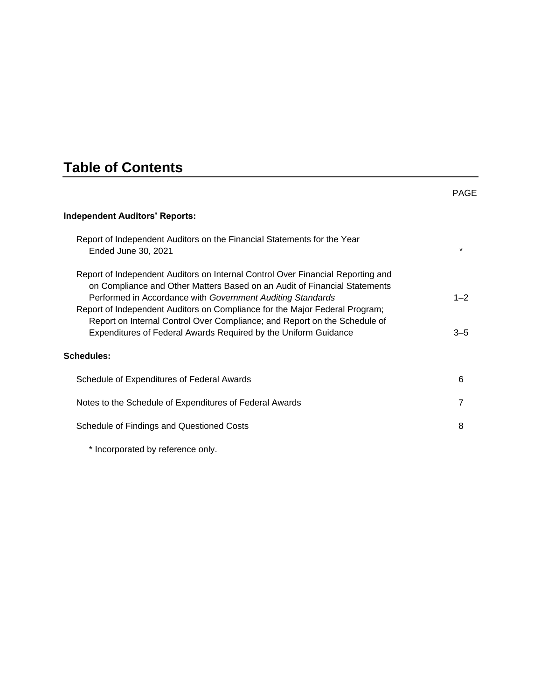# **Table of Contents**

|                                                                                                                                                                                                                                                                                                                                                                                                                                                           | <b>PAGE</b>        |
|-----------------------------------------------------------------------------------------------------------------------------------------------------------------------------------------------------------------------------------------------------------------------------------------------------------------------------------------------------------------------------------------------------------------------------------------------------------|--------------------|
| <b>Independent Auditors' Reports:</b>                                                                                                                                                                                                                                                                                                                                                                                                                     |                    |
| Report of Independent Auditors on the Financial Statements for the Year<br>Ended June 30, 2021                                                                                                                                                                                                                                                                                                                                                            |                    |
| Report of Independent Auditors on Internal Control Over Financial Reporting and<br>on Compliance and Other Matters Based on an Audit of Financial Statements<br>Performed in Accordance with Government Auditing Standards<br>Report of Independent Auditors on Compliance for the Major Federal Program;<br>Report on Internal Control Over Compliance; and Report on the Schedule of<br>Expenditures of Federal Awards Required by the Uniform Guidance | $1 - 2$<br>$3 - 5$ |
| <b>Schedules:</b>                                                                                                                                                                                                                                                                                                                                                                                                                                         |                    |
| Schedule of Expenditures of Federal Awards                                                                                                                                                                                                                                                                                                                                                                                                                | 6                  |
| Notes to the Schedule of Expenditures of Federal Awards                                                                                                                                                                                                                                                                                                                                                                                                   | 7                  |
| Schedule of Findings and Questioned Costs                                                                                                                                                                                                                                                                                                                                                                                                                 | 8                  |
| * Incorporated by reference only.                                                                                                                                                                                                                                                                                                                                                                                                                         |                    |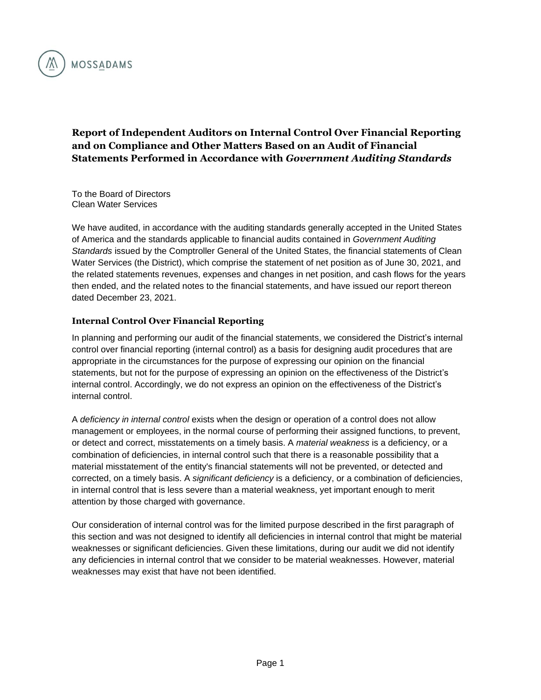

# **Report of Independent Auditors on Internal Control Over Financial Reporting and on Compliance and Other Matters Based on an Audit of Financial Statements Performed in Accordance with** *Government Auditing Standards*

To the Board of Directors Clean Water Services

We have audited, in accordance with the auditing standards generally accepted in the United States of America and the standards applicable to financial audits contained in *Government Auditing Standards* issued by the Comptroller General of the United States, the financial statements of Clean Water Services (the District), which comprise the statement of net position as of June 30, 2021, and the related statements revenues, expenses and changes in net position, and cash flows for the years then ended, and the related notes to the financial statements, and have issued our report thereon dated December 23, 2021.

### **Internal Control Over Financial Reporting**

In planning and performing our audit of the financial statements, we considered the District's internal control over financial reporting (internal control) as a basis for designing audit procedures that are appropriate in the circumstances for the purpose of expressing our opinion on the financial statements, but not for the purpose of expressing an opinion on the effectiveness of the District's internal control. Accordingly, we do not express an opinion on the effectiveness of the District's internal control.

A *deficiency in internal control* exists when the design or operation of a control does not allow management or employees, in the normal course of performing their assigned functions, to prevent, or detect and correct, misstatements on a timely basis. A *material weakness* is a deficiency, or a combination of deficiencies, in internal control such that there is a reasonable possibility that a material misstatement of the entity's financial statements will not be prevented, or detected and corrected, on a timely basis. A *significant deficiency* is a deficiency, or a combination of deficiencies, in internal control that is less severe than a material weakness, yet important enough to merit attention by those charged with governance.

Our consideration of internal control was for the limited purpose described in the first paragraph of this section and was not designed to identify all deficiencies in internal control that might be material weaknesses or significant deficiencies. Given these limitations, during our audit we did not identify any deficiencies in internal control that we consider to be material weaknesses. However, material weaknesses may exist that have not been identified.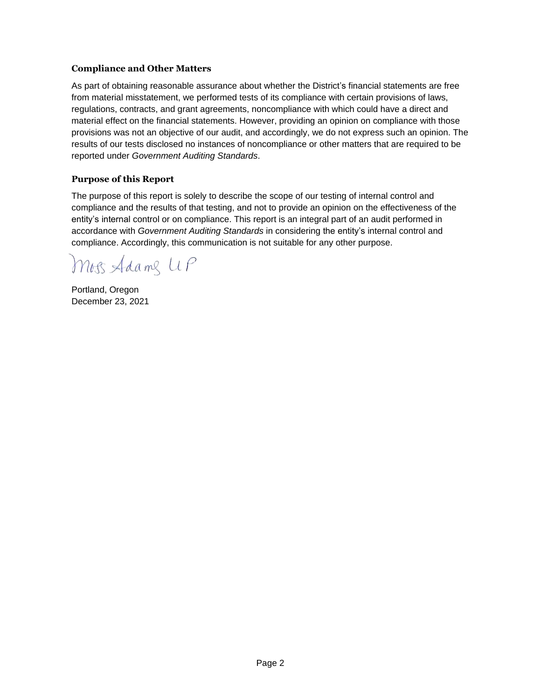# **Compliance and Other Matters**

As part of obtaining reasonable assurance about whether the District's financial statements are free from material misstatement, we performed tests of its compliance with certain provisions of laws, regulations, contracts, and grant agreements, noncompliance with which could have a direct and material effect on the financial statements. However, providing an opinion on compliance with those provisions was not an objective of our audit, and accordingly, we do not express such an opinion. The results of our tests disclosed no instances of noncompliance or other matters that are required to be reported under *Government Auditing Standards*.

# **Purpose of this Report**

The purpose of this report is solely to describe the scope of our testing of internal control and compliance and the results of that testing, and not to provide an opinion on the effectiveness of the entity's internal control or on compliance. This report is an integral part of an audit performed in accordance with *Government Auditing Standards* in considering the entity's internal control and compliance. Accordingly, this communication is not suitable for any other purpose.

Moss Adame LLP

Portland, Oregon December 23, 2021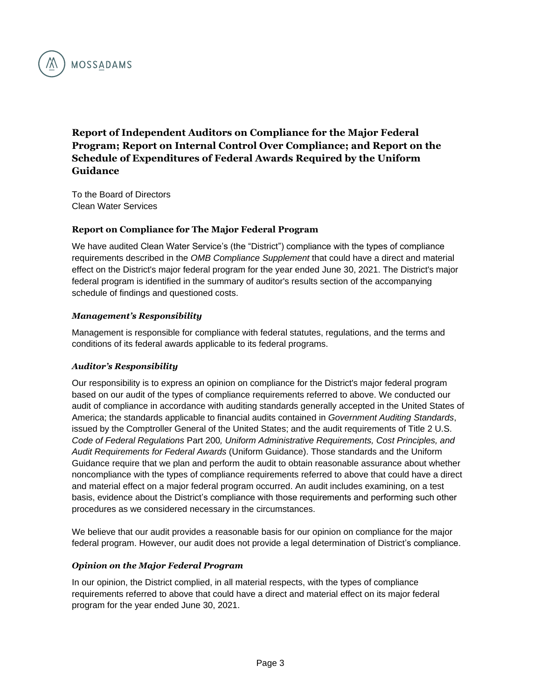

**Report of Independent Auditors on Compliance for the Major Federal Program; Report on Internal Control Over Compliance; and Report on the Schedule of Expenditures of Federal Awards Required by the Uniform Guidance**

To the Board of Directors Clean Water Services

### **Report on Compliance for The Major Federal Program**

We have audited Clean Water Service's (the "District") compliance with the types of compliance requirements described in the *OMB Compliance Supplement* that could have a direct and material effect on the District's major federal program for the year ended June 30, 2021. The District's major federal program is identified in the summary of auditor's results section of the accompanying schedule of findings and questioned costs.

### *Management's Responsibility*

Management is responsible for compliance with federal statutes, regulations, and the terms and conditions of its federal awards applicable to its federal programs.

#### *Auditor's Responsibility*

Our responsibility is to express an opinion on compliance for the District's major federal program based on our audit of the types of compliance requirements referred to above. We conducted our audit of compliance in accordance with auditing standards generally accepted in the United States of America; the standards applicable to financial audits contained in *Government Auditing Standards*, issued by the Comptroller General of the United States; and the audit requirements of Title 2 U.S. *Code of Federal Regulations* Part 200*, Uniform Administrative Requirements, Cost Principles, and Audit Requirements for Federal Awards* (Uniform Guidance). Those standards and the Uniform Guidance require that we plan and perform the audit to obtain reasonable assurance about whether noncompliance with the types of compliance requirements referred to above that could have a direct and material effect on a major federal program occurred. An audit includes examining, on a test basis, evidence about the District's compliance with those requirements and performing such other procedures as we considered necessary in the circumstances.

We believe that our audit provides a reasonable basis for our opinion on compliance for the major federal program. However, our audit does not provide a legal determination of District's compliance.

#### *Opinion on the Major Federal Program*

In our opinion, the District complied, in all material respects, with the types of compliance requirements referred to above that could have a direct and material effect on its major federal program for the year ended June 30, 2021.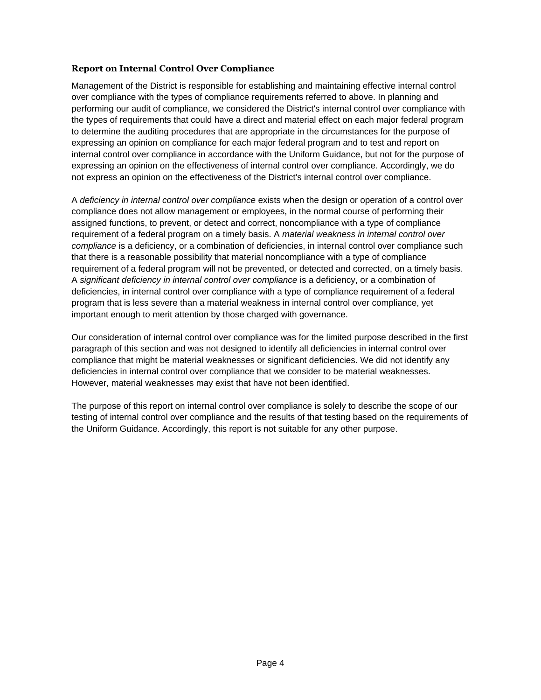# **Report on Internal Control Over Compliance**

Management of the District is responsible for establishing and maintaining effective internal control over compliance with the types of compliance requirements referred to above. In planning and performing our audit of compliance, we considered the District's internal control over compliance with the types of requirements that could have a direct and material effect on each major federal program to determine the auditing procedures that are appropriate in the circumstances for the purpose of expressing an opinion on compliance for each major federal program and to test and report on internal control over compliance in accordance with the Uniform Guidance, but not for the purpose of expressing an opinion on the effectiveness of internal control over compliance. Accordingly, we do not express an opinion on the effectiveness of the District's internal control over compliance.

A *deficiency in internal control over compliance* exists when the design or operation of a control over compliance does not allow management or employees, in the normal course of performing their assigned functions, to prevent, or detect and correct, noncompliance with a type of compliance requirement of a federal program on a timely basis. A *material weakness in internal control over compliance* is a deficiency, or a combination of deficiencies, in internal control over compliance such that there is a reasonable possibility that material noncompliance with a type of compliance requirement of a federal program will not be prevented, or detected and corrected, on a timely basis. A *significant deficiency in internal control over compliance* is a deficiency, or a combination of deficiencies, in internal control over compliance with a type of compliance requirement of a federal program that is less severe than a material weakness in internal control over compliance, yet important enough to merit attention by those charged with governance.

Our consideration of internal control over compliance was for the limited purpose described in the first paragraph of this section and was not designed to identify all deficiencies in internal control over compliance that might be material weaknesses or significant deficiencies. We did not identify any deficiencies in internal control over compliance that we consider to be material weaknesses. However, material weaknesses may exist that have not been identified.

The purpose of this report on internal control over compliance is solely to describe the scope of our testing of internal control over compliance and the results of that testing based on the requirements of the Uniform Guidance. Accordingly, this report is not suitable for any other purpose.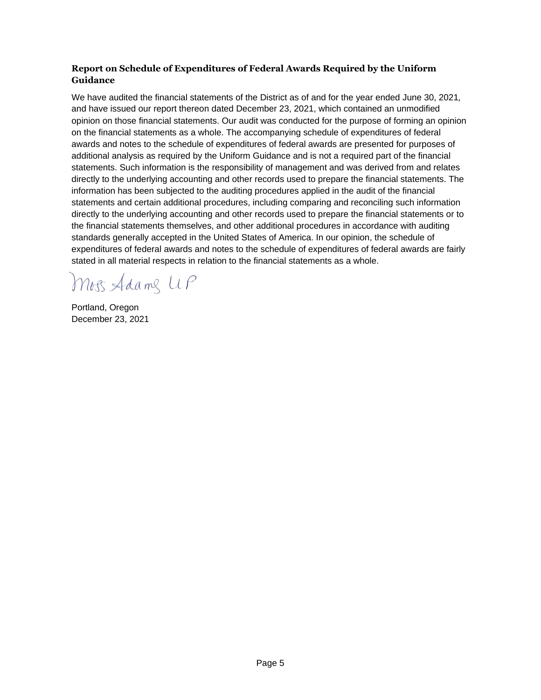# **Report on Schedule of Expenditures of Federal Awards Required by the Uniform Guidance**

We have audited the financial statements of the District as of and for the year ended June 30, 2021*,*  and have issued our report thereon dated December 23, 2021, which contained an unmodified opinion on those financial statements. Our audit was conducted for the purpose of forming an opinion on the financial statements as a whole. The accompanying schedule of expenditures of federal awards and notes to the schedule of expenditures of federal awards are presented for purposes of additional analysis as required by the Uniform Guidance and is not a required part of the financial statements. Such information is the responsibility of management and was derived from and relates directly to the underlying accounting and other records used to prepare the financial statements. The information has been subjected to the auditing procedures applied in the audit of the financial statements and certain additional procedures, including comparing and reconciling such information directly to the underlying accounting and other records used to prepare the financial statements or to the financial statements themselves, and other additional procedures in accordance with auditing standards generally accepted in the United States of America. In our opinion, the schedule of expenditures of federal awards and notes to the schedule of expenditures of federal awards are fairly stated in all material respects in relation to the financial statements as a whole.

Moss Adams UP

Portland, Oregon December 23, 2021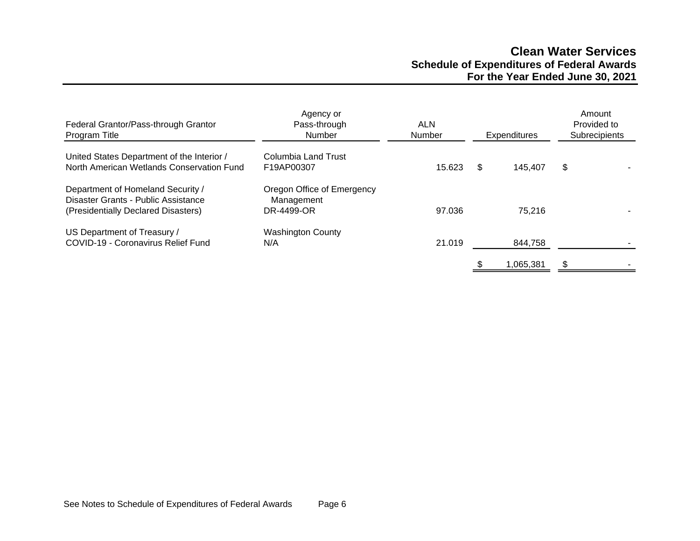# **Clean Water Services Schedule of Expenditures of Federal Awards For the Year Ended June 30, 2021**

| Federal Grantor/Pass-through Grantor<br>Program Title                    | Agency or<br>Pass-through<br>Number      | <b>ALN</b><br><b>Number</b> | Expenditures |           |     | Amount<br>Provided to<br>Subrecipients |
|--------------------------------------------------------------------------|------------------------------------------|-----------------------------|--------------|-----------|-----|----------------------------------------|
| United States Department of the Interior /                               | Columbia Land Trust                      |                             |              |           |     |                                        |
| North American Wetlands Conservation Fund                                | F19AP00307                               | 15.623                      | \$           | 145.407   | \$  |                                        |
| Department of Homeland Security /<br>Disaster Grants - Public Assistance | Oregon Office of Emergency<br>Management |                             |              |           |     |                                        |
| (Presidentially Declared Disasters)                                      | DR-4499-OR                               | 97.036                      |              | 75.216    |     |                                        |
| US Department of Treasury /                                              | <b>Washington County</b>                 |                             |              |           |     |                                        |
| COVID-19 - Coronavirus Relief Fund                                       | N/A                                      | 21.019                      |              | 844.758   |     |                                        |
|                                                                          |                                          |                             |              | 1,065,381 | \$. |                                        |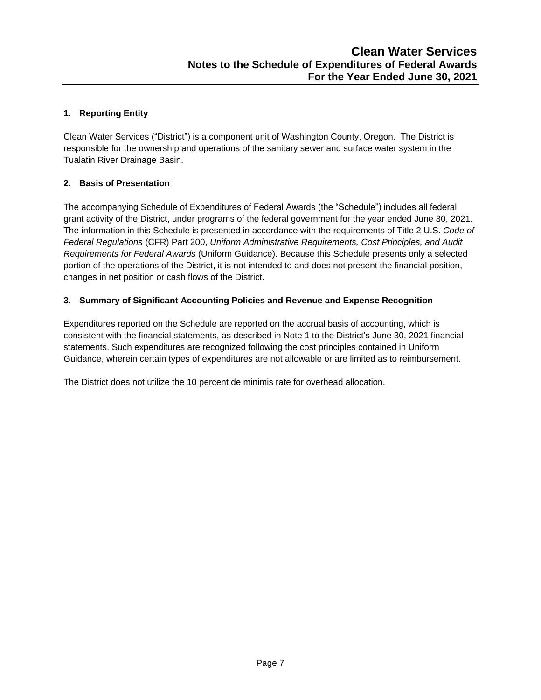# **1. Reporting Entity**

Clean Water Services ("District") is a component unit of Washington County, Oregon. The District is responsible for the ownership and operations of the sanitary sewer and surface water system in the Tualatin River Drainage Basin.

# **2. Basis of Presentation**

The accompanying Schedule of Expenditures of Federal Awards (the "Schedule") includes all federal grant activity of the District, under programs of the federal government for the year ended June 30, 2021. The information in this Schedule is presented in accordance with the requirements of Title 2 U.S. *Code of Federal Regulations* (CFR) Part 200, *Uniform Administrative Requirements, Cost Principles, and Audit Requirements for Federal Awards* (Uniform Guidance). Because this Schedule presents only a selected portion of the operations of the District, it is not intended to and does not present the financial position, changes in net position or cash flows of the District.

# **3. Summary of Significant Accounting Policies and Revenue and Expense Recognition**

Expenditures reported on the Schedule are reported on the accrual basis of accounting, which is consistent with the financial statements, as described in Note 1 to the District's June 30, 2021 financial statements. Such expenditures are recognized following the cost principles contained in Uniform Guidance, wherein certain types of expenditures are not allowable or are limited as to reimbursement.

The District does not utilize the 10 percent de minimis rate for overhead allocation.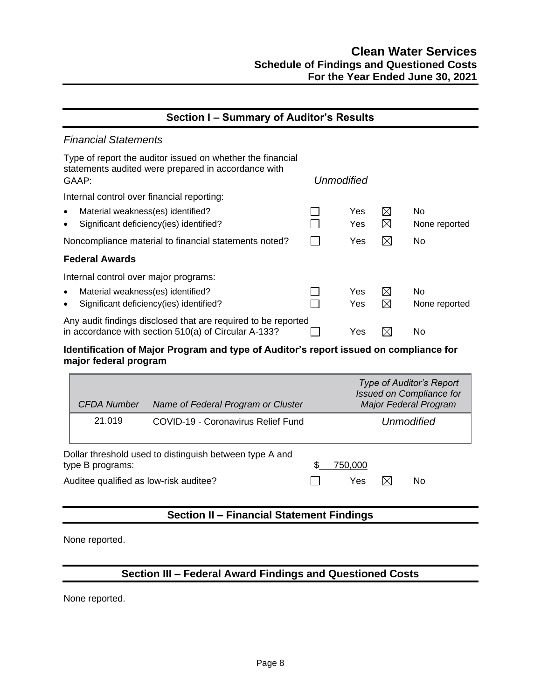| Section I - Summary of Auditor's Results                                                                                                                                             |  |                    |                                 |                            |
|--------------------------------------------------------------------------------------------------------------------------------------------------------------------------------------|--|--------------------|---------------------------------|----------------------------|
| <b>Financial Statements</b>                                                                                                                                                          |  |                    |                                 |                            |
| Type of report the auditor issued on whether the financial<br>statements audited were prepared in accordance with<br>GAAP:                                                           |  | <b>Unmodified</b>  |                                 |                            |
| Internal control over financial reporting:<br>Material weakness(es) identified?<br>Significant deficiency (ies) identified?<br>Noncompliance material to financial statements noted? |  | Yes<br>Yes.<br>Yes | $\boxtimes$<br>$\boxtimes$<br>⊠ | No.<br>None reported<br>No |
| <b>Federal Awards</b>                                                                                                                                                                |  |                    |                                 |                            |
| Internal control over major programs:<br>Material weakness(es) identified?<br>٠<br>Significant deficiency (ies) identified?                                                          |  | Yes<br>Yes         | $\boxtimes$<br>⊠                | No.<br>None reported       |
| Any audit findings disclosed that are required to be reported<br>in accordance with section 510(a) of Circular A-133?                                                                |  | Yes                | $\boxtimes$                     | No                         |

# **Identification of Major Program and type of Auditor's report issued on compliance for major federal program**

|                                                                                        | CFDA Number | Name of Federal Program or Cluster | <b>Type of Auditor's Report</b><br><b>Issued on Compliance for</b><br><b>Major Federal Program</b> |    |    |            |
|----------------------------------------------------------------------------------------|-------------|------------------------------------|----------------------------------------------------------------------------------------------------|----|----|------------|
|                                                                                        | 21.019      | COVID-19 - Coronavirus Relief Fund |                                                                                                    |    |    | Unmodified |
| Dollar threshold used to distinguish between type A and<br>type B programs:<br>750,000 |             |                                    |                                                                                                    |    |    |            |
| Auditee qualified as low-risk auditee?                                                 |             |                                    | Yes                                                                                                | IX | No |            |

# **Section II – Financial Statement Findings**

None reported.

# **Section III – Federal Award Findings and Questioned Costs**

None reported.